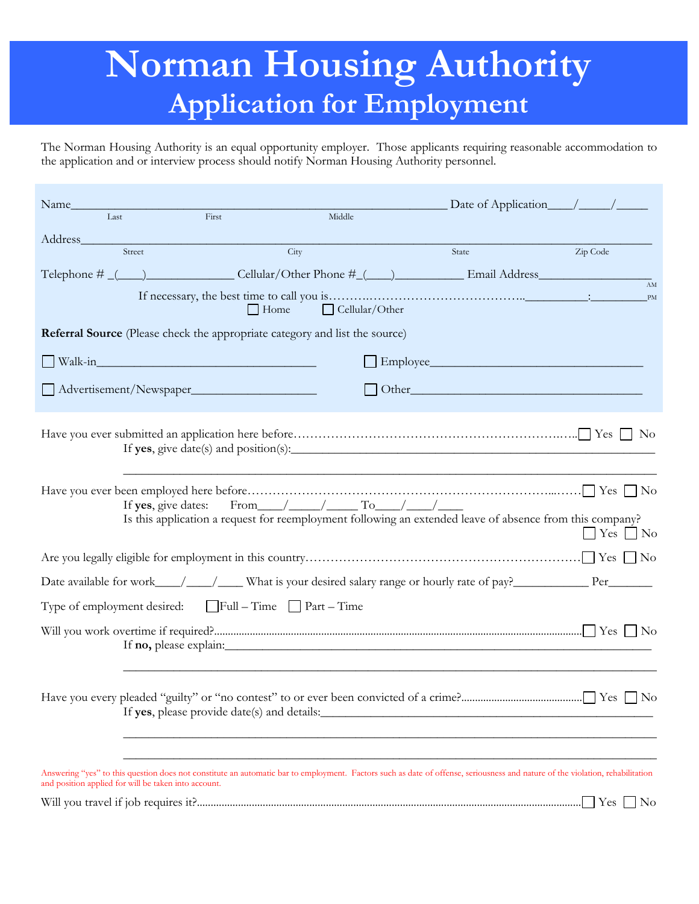# **Norman Housing Authority Application for Employment**

The Norman Housing Authority is an equal opportunity employer. Those applicants requiring reasonable accommodation to the application and or interview process should notify Norman Housing Authority personnel.

| Last                                                 |        |                                                                             |        |                                                                             |                                                                                                                                                                               |               |
|------------------------------------------------------|--------|-----------------------------------------------------------------------------|--------|-----------------------------------------------------------------------------|-------------------------------------------------------------------------------------------------------------------------------------------------------------------------------|---------------|
|                                                      |        | First                                                                       | Middle |                                                                             |                                                                                                                                                                               |               |
| Address 1988                                         | Street |                                                                             | City   |                                                                             | State                                                                                                                                                                         | Zip Code      |
|                                                      |        |                                                                             |        |                                                                             |                                                                                                                                                                               |               |
|                                                      |        | $\Box$ Home                                                                 |        | $\Box$ Cellular/Other                                                       |                                                                                                                                                                               | <b>PM</b>     |
|                                                      |        | Referral Source (Please check the appropriate category and list the source) |        |                                                                             |                                                                                                                                                                               |               |
|                                                      |        |                                                                             |        |                                                                             | $\Box$ Employee                                                                                                                                                               |               |
|                                                      |        | Advertisement/Newspaper                                                     |        |                                                                             |                                                                                                                                                                               |               |
|                                                      |        |                                                                             |        |                                                                             |                                                                                                                                                                               |               |
|                                                      |        |                                                                             |        | If yes, give dates: From $\_\_\_\_\_\_\_\_\_\_\_\_\_\_\_\_\_\_\_\_\_\_\_\_$ | Is this application a request for reemployment following an extended leave of absence from this company?                                                                      | $Yes \tNo$    |
|                                                      |        |                                                                             |        |                                                                             |                                                                                                                                                                               |               |
|                                                      |        |                                                                             |        |                                                                             | Date available for work___/__/___/ What is your desired salary range or hourly rate of pay?__________________ Per____________                                                 |               |
|                                                      |        | Type of employment desired: $\Box$ Full – Time $\Box$ Part – Time           |        |                                                                             |                                                                                                                                                                               |               |
|                                                      |        |                                                                             |        |                                                                             | If <b>no</b> , please explain:                                                                                                                                                |               |
|                                                      |        | If yes, please provide date(s) and details:                                 |        |                                                                             |                                                                                                                                                                               |               |
| and position applied for will be taken into account. |        |                                                                             |        |                                                                             | Answering "yes" to this question does not constitute an automatic bar to employment. Factors such as date of offense, seriousness and nature of the violation, rehabilitation |               |
|                                                      |        |                                                                             |        |                                                                             |                                                                                                                                                                               | $Yes \Box No$ |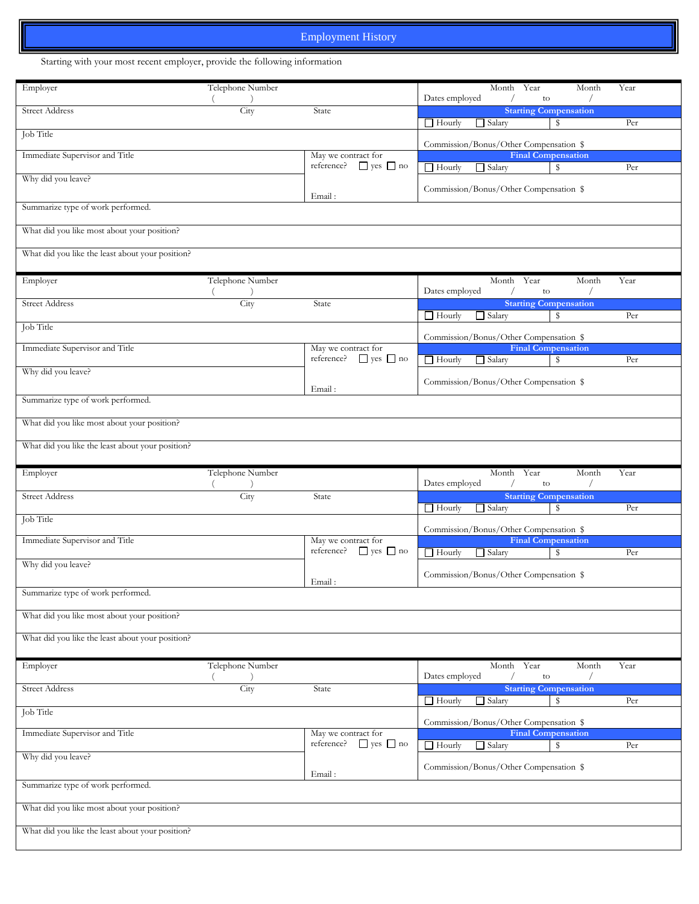## Employment History

Starting with your most recent employer, provide the following information

| Employer                                         | Telephone Number |                                                           | Year<br>Month<br>Month<br>Dates employed<br>to                       | Year |
|--------------------------------------------------|------------------|-----------------------------------------------------------|----------------------------------------------------------------------|------|
| <b>Street Address</b>                            | City             | State                                                     | <b>Starting Compensation</b><br>$\Box$ Hourly<br>$\Box$ Salary<br>\$ | Per  |
| Job Title                                        |                  |                                                           | Commission/Bonus/Other Compensation \$                               |      |
| Immediate Supervisor and Title                   |                  | May we contract for<br>$\Box$ yes $\Box$ no<br>reference? | <b>Final Compensation</b><br>$\Box$ Hourly<br>$\Box$ Salary<br>\$    | Per  |
| Why did you leave?                               |                  |                                                           | Commission/Bonus/Other Compensation \$                               |      |
| Summarize type of work performed.                |                  | Email:                                                    |                                                                      |      |
| What did you like most about your position?      |                  |                                                           |                                                                      |      |
| What did you like the least about your position? |                  |                                                           |                                                                      |      |
| Employer                                         | Telephone Number |                                                           | Year<br>Month<br>Month<br>Dates employed<br>to                       | Year |
| <b>Street Address</b>                            | City             | State                                                     | <b>Starting Compensation</b><br>$\Box$ Hourly<br>$\Box$ Salary<br>\$ | Per  |
| Job Title                                        |                  |                                                           | Commission/Bonus/Other Compensation \$                               |      |
| Immediate Supervisor and Title                   |                  | May we contract for<br>$\Box$ yes $\Box$ no<br>reference? | <b>Final Compensation</b><br>$\Box$ Hourly<br>$\Box$ Salary<br>\$    | Per  |
| Why did you leave?                               |                  |                                                           | Commission/Bonus/Other Compensation \$                               |      |
| Summarize type of work performed.                |                  | Email:                                                    |                                                                      |      |
| What did you like most about your position?      |                  |                                                           |                                                                      |      |
| What did you like the least about your position? |                  |                                                           |                                                                      |      |
|                                                  |                  |                                                           |                                                                      |      |
| Employer                                         | Telephone Number |                                                           | Month<br>Year<br>Month<br>Dates employed<br>to                       | Year |
| <b>Street Address</b>                            | City             | State                                                     | <b>Starting Compensation</b><br>$\Box$ Salary<br>\$<br>$\Box$ Hourly | Per  |
| Job Title                                        |                  |                                                           | Commission/Bonus/Other Compensation \$                               |      |
| Immediate Supervisor and Title                   |                  | May we contract for<br>$\Box$ yes $\Box$ no<br>reference? | <b>Final Compensation</b><br>$\Box$ Hourly<br>$\Box$ Salary<br>\$    | Per  |
| Why did you leave?                               |                  |                                                           | Commission/Bonus/Other Compensation \$                               |      |
| Summarize type of work performed.                |                  | Email:                                                    |                                                                      |      |
| What did you like most about your position?      |                  |                                                           |                                                                      |      |
| What did you like the least about your position? |                  |                                                           |                                                                      |      |
| Employer                                         | Telephone Number |                                                           | Year<br>Month<br>Month<br>Dates employed<br>to                       | Year |
| <b>Street Address</b>                            | City             | State                                                     | <b>Starting Compensation</b><br>$\Box$ Hourly<br>$\Box$ Salary<br>\$ | Per  |
| Job Title                                        |                  |                                                           | Commission/Bonus/Other Compensation \$                               |      |
| Immediate Supervisor and Title                   |                  | May we contract for<br>reference?<br>$\Box$ yes $\Box$ no | <b>Final Compensation</b><br>$\Box$ Hourly<br>$\Box$ Salary<br>\$    | Per  |
| Why did you leave?                               |                  |                                                           | Commission/Bonus/Other Compensation \$                               |      |
| Summarize type of work performed.                |                  | Email:                                                    |                                                                      |      |
| What did you like most about your position?      |                  |                                                           |                                                                      |      |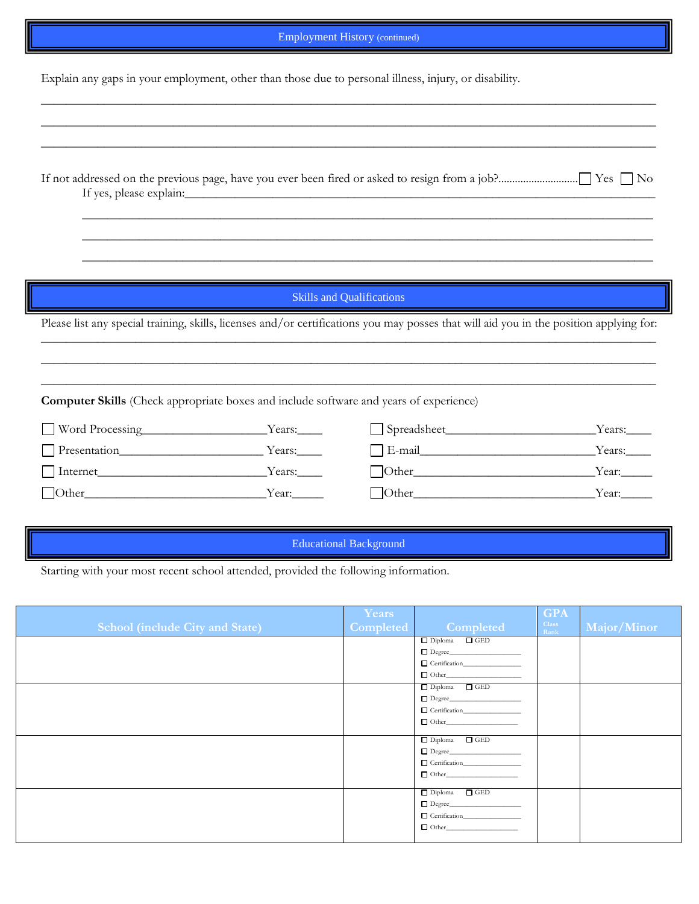## Employment History (continued)

\_\_\_\_\_\_\_\_\_\_\_\_\_\_\_\_\_\_\_\_\_\_\_\_\_\_\_\_\_\_\_\_\_\_\_\_\_\_\_\_\_\_\_\_\_\_\_\_\_\_\_\_\_\_\_\_\_\_\_\_\_\_\_\_\_\_\_\_\_\_\_\_\_\_\_\_\_\_\_\_\_\_\_\_\_\_\_\_\_\_\_\_\_\_\_\_\_\_ \_\_\_\_\_\_\_\_\_\_\_\_\_\_\_\_\_\_\_\_\_\_\_\_\_\_\_\_\_\_\_\_\_\_\_\_\_\_\_\_\_\_\_\_\_\_\_\_\_\_\_\_\_\_\_\_\_\_\_\_\_\_\_\_\_\_\_\_\_\_\_\_\_\_\_\_\_\_\_\_\_\_\_\_\_\_\_\_\_\_\_\_\_\_\_\_\_\_

Explain any gaps in your employment, other than those due to personal illness, injury, or disability.

## Skills and Qualifications

Please list any special training, skills, licenses and/or certifications you may posses that will aid you in the position applying for:  $\_$  ,  $\_$  ,  $\_$  ,  $\_$  ,  $\_$  ,  $\_$  ,  $\_$  ,  $\_$  ,  $\_$  ,  $\_$  ,  $\_$  ,  $\_$  ,  $\_$  ,  $\_$  ,  $\_$  ,  $\_$  ,  $\_$  ,  $\_$  ,  $\_$  ,  $\_$  ,  $\_$  ,  $\_$  ,  $\_$  ,  $\_$  ,  $\_$  ,  $\_$  ,  $\_$  ,  $\_$  ,  $\_$  ,  $\_$  ,  $\_$  ,  $\_$  ,  $\_$  ,  $\_$  ,  $\_$  ,  $\_$  ,  $\_$  ,

\_\_\_\_\_\_\_\_\_\_\_\_\_\_\_\_\_\_\_\_\_\_\_\_\_\_\_\_\_\_\_\_\_\_\_\_\_\_\_\_\_\_\_\_\_\_\_\_\_\_\_\_\_\_\_\_\_\_\_\_\_\_\_\_\_\_\_\_\_\_\_\_\_\_\_\_\_\_\_\_\_\_\_\_\_\_\_\_\_\_\_\_\_\_\_\_\_\_  $\_$  ,  $\_$  ,  $\_$  ,  $\_$  ,  $\_$  ,  $\_$  ,  $\_$  ,  $\_$  ,  $\_$  ,  $\_$  ,  $\_$  ,  $\_$  ,  $\_$  ,  $\_$  ,  $\_$  ,  $\_$  ,  $\_$  ,  $\_$  ,  $\_$  ,  $\_$  ,  $\_$  ,  $\_$  ,  $\_$  ,  $\_$  ,  $\_$  ,  $\_$  ,  $\_$  ,  $\_$  ,  $\_$  ,  $\_$  ,  $\_$  ,  $\_$  ,  $\_$  ,  $\_$  ,  $\_$  ,  $\_$  ,  $\_$  ,

**Computer Skills** (Check appropriate boxes and include software and years of experience)

| Word Processing | Years: | Spreadsheet_    | Years: |
|-----------------|--------|-----------------|--------|
| Presentation    | Years: | E-mail          | Years: |
| Internet        | Years: | $\exists$ Other | Year:  |
| $\Box$ Other    | Year:  | Other           | Year:  |

#### Educational Background

Starting with your most recent school attended, provided the following information.

| <b>School (include City and State)</b> | Years<br>Completed | <b>Completed</b>                          | <b>GPA</b><br><b>Class</b><br>Rank | Major/Minor |
|----------------------------------------|--------------------|-------------------------------------------|------------------------------------|-------------|
|                                        |                    | $\Box$ Diploma $\Box$ GED<br>$\Box$ Other |                                    |             |
|                                        |                    | $\Box$ Diploma $\Box$ GED<br>$\Box$ Other |                                    |             |
|                                        |                    | $\Box$ Diploma $\Box$ GED<br>$\Box$ Other |                                    |             |
|                                        |                    | $\Box$ Diploma $\Box$ GED<br>$\Box$ Other |                                    |             |